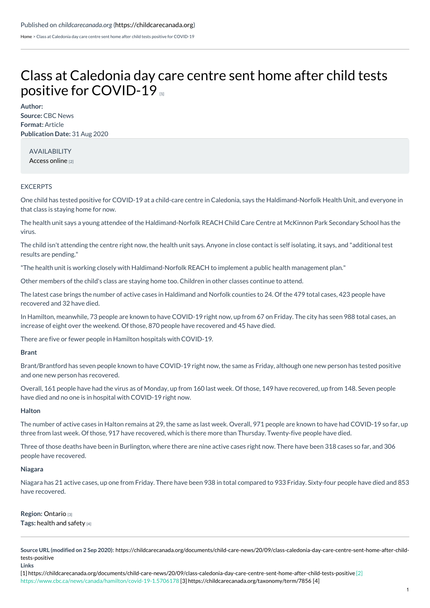[Home](https://childcarecanada.org/) > Class at Caledonia day care centre sent home after child tests positive for COVID-19

# Class at Caledonia day care centre sent home after child tests positive for [COVID-19](https://childcarecanada.org/documents/child-care-news/20/09/class-caledonia-day-care-centre-sent-home-after-child-tests-positive) m

**Author: Source:** CBC News **Format:** Article **Publication Date:** 31 Aug 2020

AVAILABILITY [Access](https://www.cbc.ca/news/canada/hamilton/covid-19-1.5706178) online [2]

## EXCERPTS

One child has tested positive for COVID-19 at a child-care centre in Caledonia, says the Haldimand-Norfolk Health Unit, and everyone in that class is staying home for now.

The health unit says a young attendee of the Haldimand-Norfolk REACH Child Care Centre at McKinnon Park Secondary School has the virus.

The child isn't attending the centre right now, the health unit says. Anyone in close contact is self isolating, it says, and "additional test results are pending."

"The health unit is working closely with Haldimand-Norfolk REACH to implement a public health management plan."

Other members of the child's class are staying home too. Children in other classes continue to attend.

The latest case brings the number of active cases in Haldimand and Norfolk counties to 24. Of the 479 total cases, 423 people have recovered and 32 have died.

In Hamilton, meanwhile, 73 people are known to have COVID-19 right now, up from 67 on Friday. The city has seen 988 total cases, an increase of eight over the weekend. Of those, 870 people have recovered and 45 have died.

There are five or fewer people in Hamilton hospitals with COVID-19.

## **Brant**

Brant/Brantford has seven people known to have COVID-19 right now, the same as Friday, although one new person has tested positive and one new person has recovered.

Overall, 161 people have had the virus as of Monday, up from 160 last week. Of those, 149 have recovered, up from 148. Seven people have died and no one is in hospital with COVID-19 right now.

## **Halton**

The number of active cases in Halton remains at 29, the same as last week. Overall, 971 people are known to have had COVID-19 so far, up three from last week. Of those, 917 have recovered, which is there more than Thursday. Twenty-five people have died.

Three of those deaths have been in Burlington, where there are nine active cases right now. There have been 318 cases so far, and 306 people have recovered.

## **Niagara**

Niagara has 21 active cases, up one from Friday. There have been 938 in total compared to 933 Friday. Sixty-four people have died and 853 have recovered.

**Region:** [Ontario](https://childcarecanada.org/taxonomy/term/7856) [3] **Tags:** [health](https://childcarecanada.org/category/tags/health-and-safety) and safety [4]

**Source URL (modified on 2 Sep 2020):** [https://childcarecanada.org/documents/child-care-news/20/09/class-caledonia-day-care-centre-sent-home-after-child](https://childcarecanada.org/documents/child-care-news/20/09/class-caledonia-day-care-centre-sent-home-after-child-tests-positive)tests-positive **Links**

[1] <https://childcarecanada.org/documents/child-care-news/20/09/class-caledonia-day-care-centre-sent-home-after-child-tests-positive> [2] [https://www.cbc.ca/news/canada/hamilton/covid-19-1.5706178](https://childcarecanada.org/category/tags/health-and-safety) [3] <https://childcarecanada.org/taxonomy/term/7856> [4]